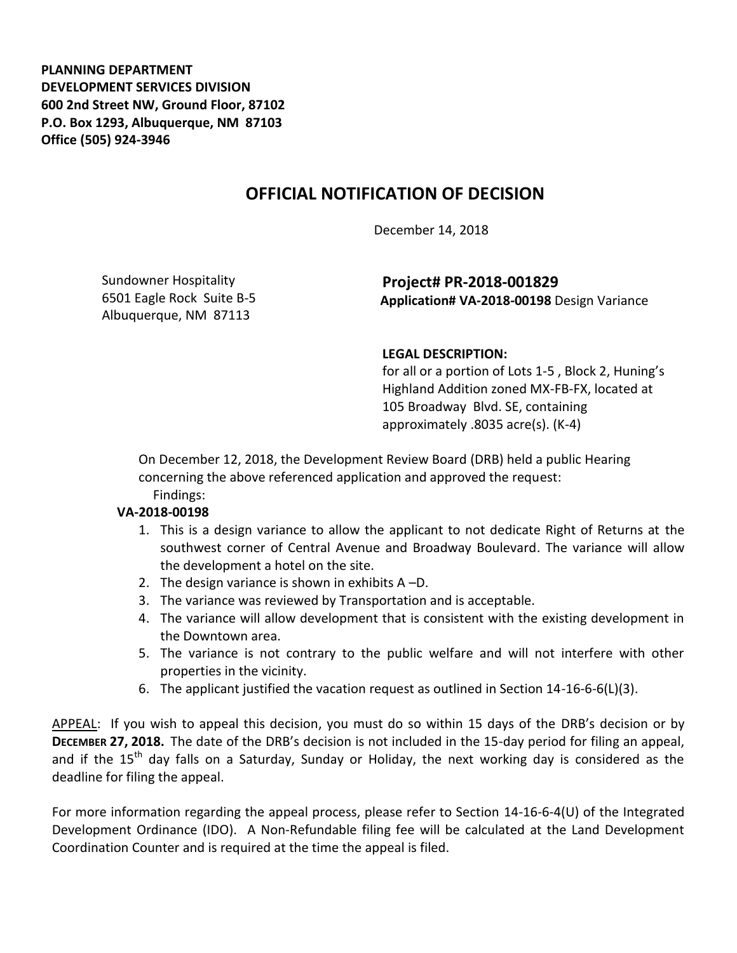**PLANNING DEPARTMENT DEVELOPMENT SERVICES DIVISION 600 2nd Street NW, Ground Floor, 87102 P.O. Box 1293, Albuquerque, NM 87103 Office (505) 924-3946** 

## **OFFICIAL NOTIFICATION OF DECISION**

December 14, 2018

Sundowner Hospitality 6501 Eagle Rock Suite B-5 Albuquerque, NM 87113

**Project# PR-2018-001829 Application# VA-2018-00198** Design Variance

## **LEGAL DESCRIPTION:**

for all or a portion of Lots 1-5 , Block 2, Huning's Highland Addition zoned MX-FB-FX, located at 105 Broadway Blvd. SE, containing approximately .8035 acre(s). (K-4)

On December 12, 2018, the Development Review Board (DRB) held a public Hearing concerning the above referenced application and approved the request: Findings:

## **VA-2018-00198**

- 1. This is a design variance to allow the applicant to not dedicate Right of Returns at the southwest corner of Central Avenue and Broadway Boulevard. The variance will allow the development a hotel on the site.
- 2. The design variance is shown in exhibits A –D.
- 3. The variance was reviewed by Transportation and is acceptable.
- 4. The variance will allow development that is consistent with the existing development in the Downtown area.
- 5. The variance is not contrary to the public welfare and will not interfere with other properties in the vicinity.
- 6. The applicant justified the vacation request as outlined in Section 14-16-6-6(L)(3).

APPEAL: If you wish to appeal this decision, you must do so within 15 days of the DRB's decision or by **DECEMBER 27, 2018.** The date of the DRB's decision is not included in the 15-day period for filing an appeal, and if the 15<sup>th</sup> day falls on a Saturday, Sunday or Holiday, the next working day is considered as the deadline for filing the appeal.

For more information regarding the appeal process, please refer to Section 14-16-6-4(U) of the Integrated Development Ordinance (IDO). A Non-Refundable filing fee will be calculated at the Land Development Coordination Counter and is required at the time the appeal is filed.